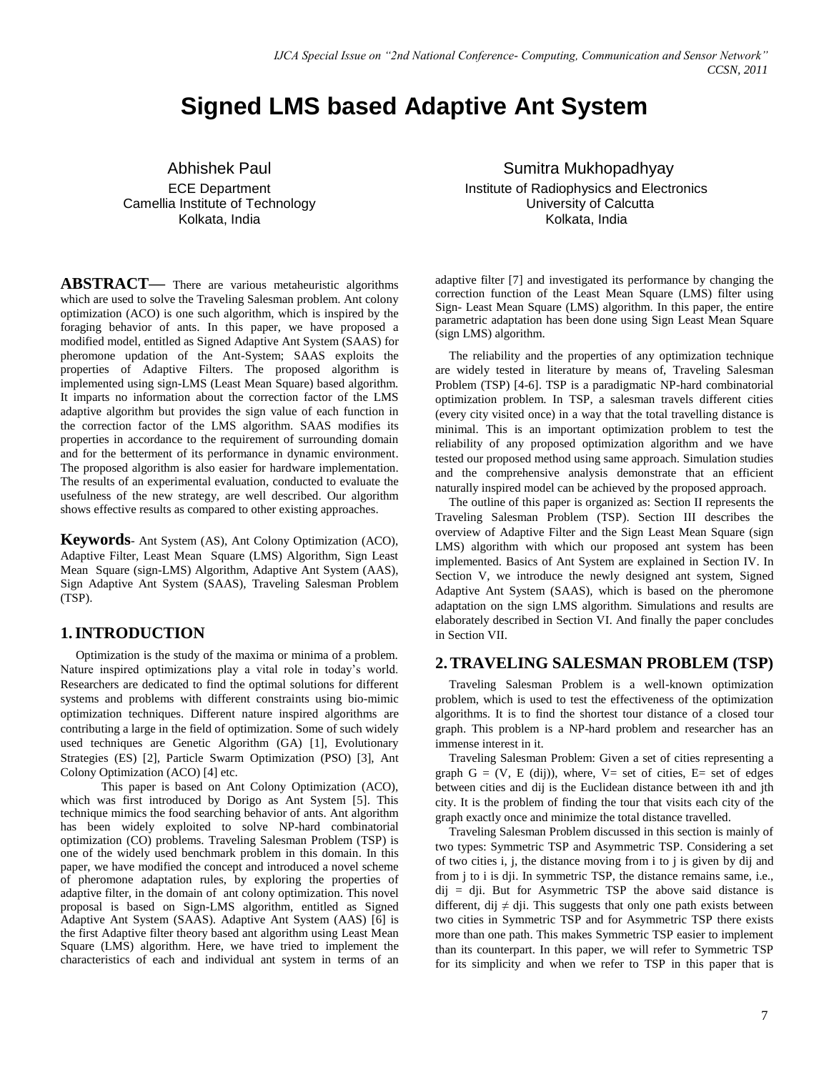# **Signed LMS based Adaptive Ant System**

Abhishek Paul ECE Department Camellia Institute of Technology Kolkata, India

**ABSTRACT—** There are various metaheuristic algorithms which are used to solve the Traveling Salesman problem. Ant colony optimization (ACO) is one such algorithm, which is inspired by the foraging behavior of ants. In this paper, we have proposed a modified model, entitled as Signed Adaptive Ant System (SAAS) for pheromone updation of the Ant-System; SAAS exploits the properties of Adaptive Filters. The proposed algorithm is implemented using sign-LMS (Least Mean Square) based algorithm. It imparts no information about the correction factor of the LMS adaptive algorithm but provides the sign value of each function in the correction factor of the LMS algorithm. SAAS modifies its properties in accordance to the requirement of surrounding domain and for the betterment of its performance in dynamic environment. The proposed algorithm is also easier for hardware implementation. The results of an experimental evaluation, conducted to evaluate the usefulness of the new strategy, are well described. Our algorithm shows effective results as compared to other existing approaches.

**Keywords**- Ant System (AS), Ant Colony Optimization (ACO), Adaptive Filter, Least Mean Square (LMS) Algorithm, Sign Least Mean Square (sign-LMS) Algorithm, Adaptive Ant System (AAS), Sign Adaptive Ant System (SAAS), Traveling Salesman Problem (TSP).

## **1.INTRODUCTION**

 Optimization is the study of the maxima or minima of a problem. Nature inspired optimizations play a vital role in today"s world. Researchers are dedicated to find the optimal solutions for different systems and problems with different constraints using bio-mimic optimization techniques. Different nature inspired algorithms are contributing a large in the field of optimization. Some of such widely used techniques are Genetic Algorithm (GA) [1], Evolutionary Strategies (ES) [2], Particle Swarm Optimization (PSO) [3], Ant Colony Optimization (ACO) [4] etc.

 This paper is based on Ant Colony Optimization (ACO), which was first introduced by Dorigo as Ant System [5]. This technique mimics the food searching behavior of ants. Ant algorithm has been widely exploited to solve NP-hard combinatorial optimization (CO) problems. Traveling Salesman Problem (TSP) is one of the widely used benchmark problem in this domain. In this paper, we have modified the concept and introduced a novel scheme of pheromone adaptation rules, by exploring the properties of adaptive filter, in the domain of ant colony optimization. This novel proposal is based on Sign-LMS algorithm, entitled as Signed Adaptive Ant System (SAAS). Adaptive Ant System (AAS) [6] is the first Adaptive filter theory based ant algorithm using Least Mean Square (LMS) algorithm. Here, we have tried to implement the characteristics of each and individual ant system in terms of an

Sumitra Mukhopadhyay Institute of Radiophysics and Electronics University of Calcutta Kolkata, India

adaptive filter [7] and investigated its performance by changing the correction function of the Least Mean Square (LMS) filter using Sign- Least Mean Square (LMS) algorithm. In this paper, the entire parametric adaptation has been done using Sign Least Mean Square (sign LMS) algorithm.

The reliability and the properties of any optimization technique are widely tested in literature by means of, Traveling Salesman Problem (TSP) [4-6]. TSP is a paradigmatic NP-hard combinatorial optimization problem. In TSP, a salesman travels different cities (every city visited once) in a way that the total travelling distance is minimal. This is an important optimization problem to test the reliability of any proposed optimization algorithm and we have tested our proposed method using same approach. Simulation studies and the comprehensive analysis demonstrate that an efficient naturally inspired model can be achieved by the proposed approach.

The outline of this paper is organized as: Section II represents the Traveling Salesman Problem (TSP). Section III describes the overview of Adaptive Filter and the Sign Least Mean Square (sign LMS) algorithm with which our proposed ant system has been implemented. Basics of Ant System are explained in Section IV. In Section V, we introduce the newly designed ant system, Signed Adaptive Ant System (SAAS), which is based on the pheromone adaptation on the sign LMS algorithm. Simulations and results are elaborately described in Section VI. And finally the paper concludes in Section VII.

#### **2.TRAVELING SALESMAN PROBLEM (TSP)**

Traveling Salesman Problem is a well-known optimization problem, which is used to test the effectiveness of the optimization algorithms. It is to find the shortest tour distance of a closed tour graph. This problem is a NP-hard problem and researcher has an immense interest in it.

Traveling Salesman Problem: Given a set of cities representing a graph  $G = (V, E (dij))$ , where,  $V = set of cities$ ,  $E = set of edges$ between cities and dij is the Euclidean distance between ith and jth city. It is the problem of finding the tour that visits each city of the graph exactly once and minimize the total distance travelled.

Traveling Salesman Problem discussed in this section is mainly of two types: Symmetric TSP and Asymmetric TSP. Considering a set of two cities i, j, the distance moving from i to j is given by dij and from j to i is dji. In symmetric TSP, the distance remains same, i.e.,  $di$  = dii. But for Asymmetric TSP the above said distance is different, dij  $\neq$  dji. This suggests that only one path exists between two cities in Symmetric TSP and for Asymmetric TSP there exists more than one path. This makes Symmetric TSP easier to implement than its counterpart. In this paper, we will refer to Symmetric TSP for its simplicity and when we refer to TSP in this paper that is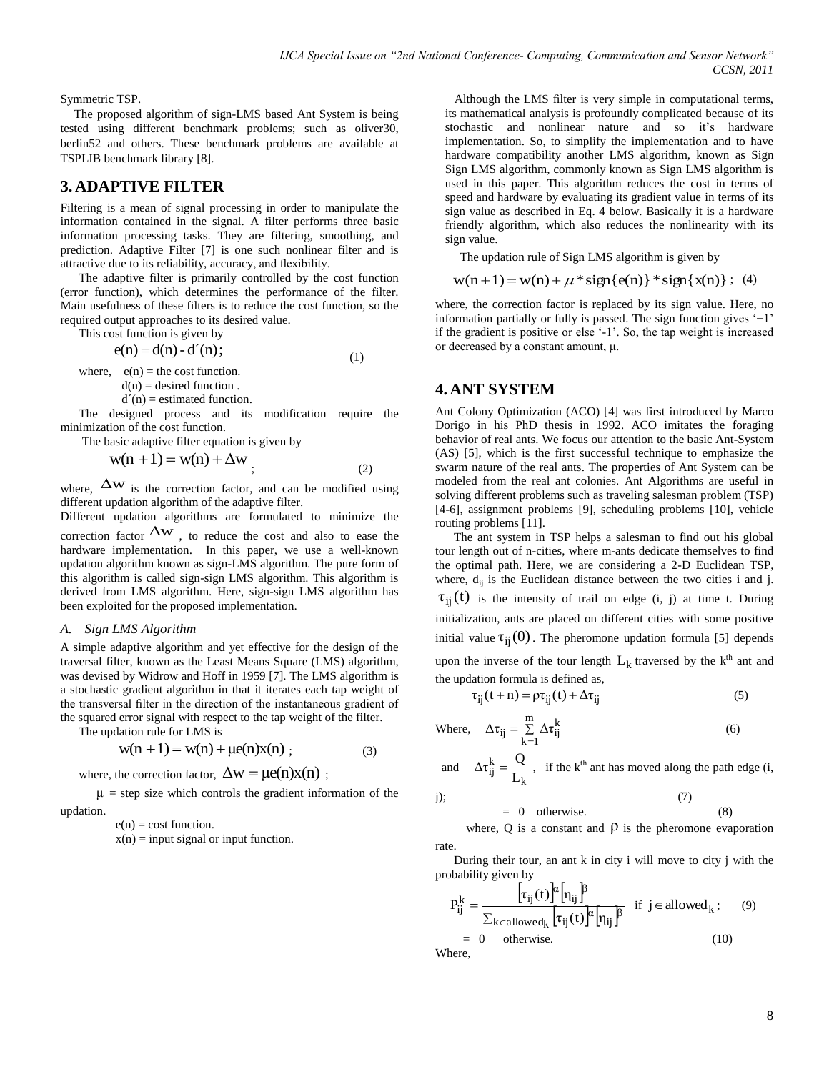Symmetric TSP.

The proposed algorithm of sign-LMS based Ant System is being tested using different benchmark problems; such as oliver30, berlin52 and others. These benchmark problems are available at TSPLIB benchmark library [8].

## **3. ADAPTIVE FILTER**

Filtering is a mean of signal processing in order to manipulate the information contained in the signal. A filter performs three basic information processing tasks. They are filtering, smoothing, and prediction. Adaptive Filter [7] is one such nonlinear filter and is attractive due to its reliability, accuracy, and flexibility.

The adaptive filter is primarily controlled by the cost function (error function), which determines the performance of the filter. Main usefulness of these filters is to reduce the cost function, so the required output approaches to its desired value.

This cost function is given by  
\n
$$
e(n) = d(n) - d'(n);
$$
\nwhere,  $e(n) =$  the cost function. (1)

 $d(n) =$  desired function.

 $d'(n)$  = estimated function.

The designed process and its modification require the minimization of the cost function.

The basic adaptive filter equation is given by

$$
w(n + 1) = w(n) + \Delta w
$$
\n(2)

where,  $\Delta w$  is the correction factor, and can be modified using different updation algorithm of the adaptive filter.

Different updation algorithms are formulated to minimize the correction factor  $\Delta w$ , to reduce the cost and also to ease the hardware implementation. In this paper, we use a well-known updation algorithm known as sign-LMS algorithm. The pure form of this algorithm is called sign-sign LMS algorithm. This algorithm is derived from LMS algorithm. Here, sign-sign LMS algorithm has been exploited for the proposed implementation.

#### *A. Sign LMS Algorithm*

A simple adaptive algorithm and yet effective for the design of the traversal filter, known as the Least Means Square (LMS) algorithm, was devised by Widrow and Hoff in 1959 [7]. The LMS algorithm is a stochastic gradient algorithm in that it iterates each tap weight of the transversal filter in the direction of the instantaneous gradient of the squared error signal with respect to the tap weight of the filter.

The updation rule for LMS is

$$
w(n + 1) = w(n) + \mu e(n)x(n) ; \t(3)
$$

where, the correction factor,  $\Delta w = \mu e(n)x(n)$ ;

 $\mu$  = step size which controls the gradient information of the updation.

 $e(n) = \text{cost function}.$ 

 $x(n) = input signal or input function.$ 

 Although the LMS filter is very simple in computational terms, its mathematical analysis is profoundly complicated because of its stochastic and nonlinear nature and so it"s hardware implementation. So, to simplify the implementation and to have hardware compatibility another LMS algorithm, known as Sign Sign LMS algorithm, commonly known as Sign LMS algorithm is used in this paper. This algorithm reduces the cost in terms of speed and hardware by evaluating its gradient value in terms of its sign value as described in Eq. 4 below. Basically it is a hardware friendly algorithm, which also reduces the nonlinearity with its sign value.

The updation rule of Sign LMS algorithm is given by

$$
w(n+1) = w(n) + \mu * sign\{e(n)\} * sign\{x(n)\};
$$
 (4)

where, the correction factor is replaced by its sign value. Here, no information partially or fully is passed. The sign function gives  $+1$ " if the gradient is positive or else "-1". So, the tap weight is increased or decreased by a constant amount, μ.

#### **4. ANT SYSTEM**

Ant Colony Optimization (ACO) [4] was first introduced by Marco Dorigo in his PhD thesis in 1992. ACO imitates the foraging behavior of real ants. We focus our attention to the basic Ant-System (AS) [5], which is the first successful technique to emphasize the swarm nature of the real ants. The properties of Ant System can be modeled from the real ant colonies. Ant Algorithms are useful in solving different problems such as traveling salesman problem (TSP) [4-6], assignment problems [9], scheduling problems [10], vehicle routing problems [11].

The ant system in TSP helps a salesman to find out his global tour length out of n-cities, where m-ants dedicate themselves to find the optimal path. Here, we are considering a 2-D Euclidean TSP, where,  $d_{ij}$  is the Euclidean distance between the two cities i and j.  $\tau_{ij}(t)$  is the intensity of trail on edge (i, j) at time t. During initialization, ants are placed on different cities with some positive initial value  $\tau_{ij}(0)$ . The pheromone updation formula [5] depends upon the inverse of the tour length  $L_k$  traversed by the  $k<sup>th</sup>$  ant and the updation formula is defined as,

$$
\tau_{ij}(t+n) = \rho \tau_{ij}(t) + \Delta \tau_{ij}
$$
\n(5)

Where, 
$$
\Delta \tau_{ij} = \sum_{k=1}^{m} \Delta \tau_{ij}^{k}
$$
 (6)

and 
$$
\Delta \tau_{ij}^k = \frac{Q}{L_k}
$$
, if the k<sup>th</sup> ant has moved along the path edge (i,  
j); (7)

$$
= 0 \quad \text{otherwise.} \tag{8}
$$

where, Q is a constant and  $\rho$  is the pheromone evaporation rate.

During their tour, an ant k in city i will move to city j with the probability given by

$$
P_{ij}^{k} = \frac{\left[\tau_{ij}(t)\right]^{\alpha} \left[\eta_{ij}\right]^{\beta}}{\sum_{k \in allowed_k} \left[\tau_{ij}(t)\right]^{\alpha} \left[\eta_{ij}\right]^{\beta}} \quad \text{if } j \in allowed_k; \quad (9)
$$
\n
$$
= 0 \quad \text{otherwise.} \quad (10)
$$
\nWhere,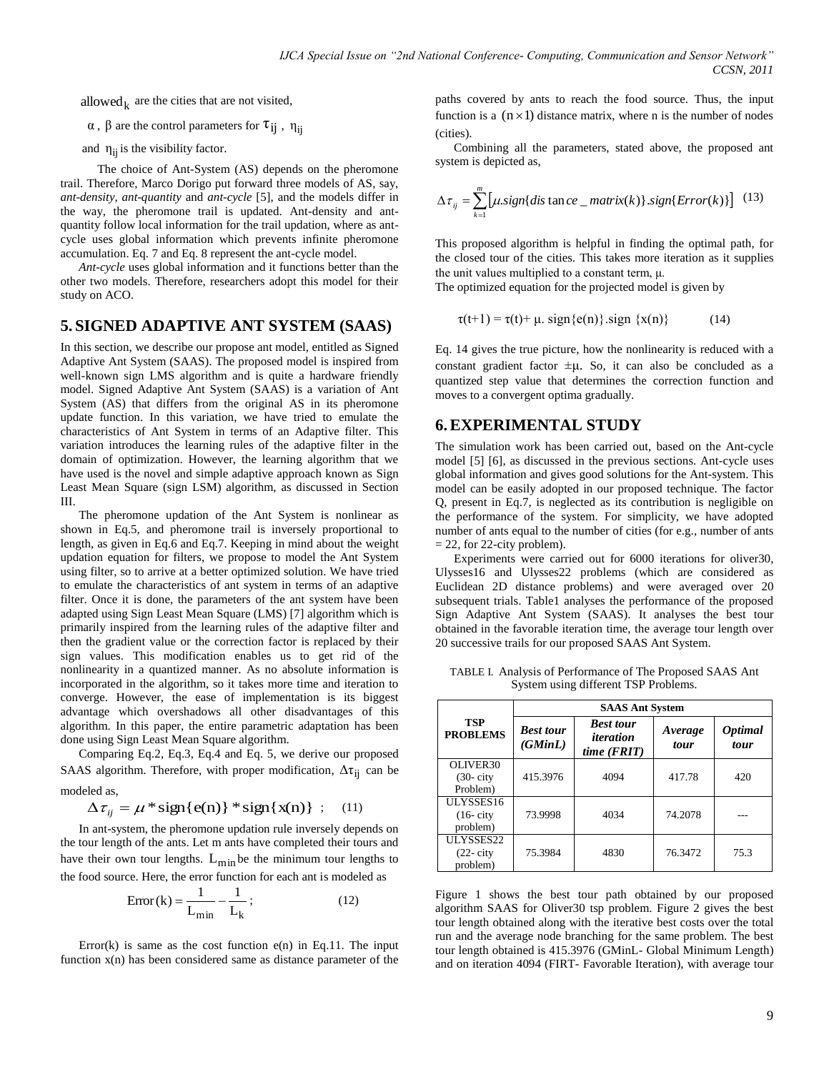allowed  $_k$  are the cities that are not visited,

 $\alpha$ ,  $\beta$  are the control parameters for  $\tau_{ij}$ ,  $\eta_{ij}$ 

and  $\eta_{ij}$  is the visibility factor.

 The choice of Ant-System (AS) depends on the pheromone trail. Therefore, Marco Dorigo put forward three models of AS, say, *ant-density*, *ant-quantity* and *ant-cycle* [5], and the models differ in the way, the pheromone trail is updated. Ant-density and antquantity follow local information for the trail updation, where as antcycle uses global information which prevents infinite pheromone accumulation. Eq. 7 and Eq. 8 represent the ant-cycle model.

*Ant-cycle* uses global information and it functions better than the other two models. Therefore, researchers adopt this model for their study on ACO.

#### **5. SIGNED ADAPTIVE ANT SYSTEM (SAAS)**

In this section, we describe our propose ant model, entitled as Signed Adaptive Ant System (SAAS). The proposed model is inspired from well-known sign LMS algorithm and is quite a hardware friendly model. Signed Adaptive Ant System (SAAS) is a variation of Ant System (AS) that differs from the original AS in its pheromone update function. In this variation, we have tried to emulate the characteristics of Ant System in terms of an Adaptive filter. This variation introduces the learning rules of the adaptive filter in the domain of optimization. However, the learning algorithm that we have used is the novel and simple adaptive approach known as Sign Least Mean Square (sign LSM) algorithm, as discussed in Section III.

The pheromone updation of the Ant System is nonlinear as shown in Eq.5, and pheromone trail is inversely proportional to length, as given in Eq.6 and Eq.7. Keeping in mind about the weight updation equation for filters, we propose to model the Ant System using filter, so to arrive at a better optimized solution. We have tried to emulate the characteristics of ant system in terms of an adaptive filter. Once it is done, the parameters of the ant system have been adapted using Sign Least Mean Square (LMS) [7] algorithm which is primarily inspired from the learning rules of the adaptive filter and then the gradient value or the correction factor is replaced by their sign values. This modification enables us to get rid of the nonlinearity in a quantized manner. As no absolute information is incorporated in the algorithm, so it takes more time and iteration to converge. However, the ease of implementation is its biggest advantage which overshadows all other disadvantages of this algorithm. In this paper, the entire parametric adaptation has been done using Sign Least Mean Square algorithm.

Comparing Eq.2, Eq.3, Eq.4 and Eq. 5, we derive our proposed SAAS algorithm. Therefore, with proper modification,  $\Delta \tau_{ij}$  can be modeled as,

$$
\Delta \tau_{ii} = \mu * sign\{e(n)\} * sign\{x(n)\} ; \quad (11)
$$

In ant-system, the pheromone updation rule inversely depends on the tour length of the ants. Let m ants have completed their tours and have their own tour lengths.  $L_{\text{min}}$  be the minimum tour lengths to the food source. Here, the error function for each ant is modeled as

$$
Error(k) = \frac{1}{L_{\min}} - \frac{1}{L_k};
$$
\n(12)

Error(k) is same as the cost function  $e(n)$  in Eq.11. The input function x(n) has been considered same as distance parameter of the

paths covered by ants to reach the food source. Thus, the input function is a  $(n \times 1)$  distance matrix, where n is the number of nodes (cities).

Combining all the parameters, stated above, the proposed ant system is depicted as,

$$
\Delta \tau_{ij} = \sum_{k=1}^{m} \left[ \mu \cdot sign\{dis \tan ce \ \_ matrix(k)\} \cdot sign\{Error(k)\} \right] \tag{13}
$$

This proposed algorithm is helpful in finding the optimal path, for the closed tour of the cities. This takes more iteration as it supplies the unit values multiplied to a constant term, μ.

The optimized equation for the projected model is given by

$$
\tau(t+1) = \tau(t) + \mu \cdot \text{sign}\{e(n)\} \cdot \text{sign}\{x(n)\}\tag{14}
$$

Eq. 14 gives the true picture, how the nonlinearity is reduced with a constant gradient factor  $\pm \mu$ . So, it can also be concluded as a quantized step value that determines the correction function and moves to a convergent optima gradually.

### **6.EXPERIMENTAL STUDY**

The simulation work has been carried out, based on the Ant-cycle model [5] [6], as discussed in the previous sections. Ant-cycle uses global information and gives good solutions for the Ant-system. This model can be easily adopted in our proposed technique. The factor Q, present in Eq.7, is neglected as its contribution is negligible on the performance of the system. For simplicity, we have adopted number of ants equal to the number of cities (for e.g., number of ants  $= 22$ , for 22-city problem).

Experiments were carried out for 6000 iterations for oliver30, Ulysses16 and Ulysses22 problems (which are considered as Euclidean 2D distance problems) and were averaged over 20 subsequent trials. Table1 analyses the performance of the proposed Sign Adaptive Ant System (SAAS). It analyses the best tour obtained in the favorable iteration time, the average tour length over 20 successive trails for our proposed SAAS Ant System.

| <b>TSP</b><br><b>PROBLEMS</b> | <b>SAAS Ant System</b>      |                                              |                 |                               |
|-------------------------------|-----------------------------|----------------------------------------------|-----------------|-------------------------------|
|                               | <b>Best tour</b><br>(GMinL) | <b>Best tour</b><br>iteration<br>time (FRIT) | Average<br>tour | <i><b>Optimal</b></i><br>tour |
| OLIVER30                      |                             |                                              |                 |                               |
| $(30 - \text{city})$          | 415.3976                    | 4094                                         | 417.78          | 420                           |
| Problem)                      |                             |                                              |                 |                               |
| ULYSSES16                     |                             |                                              |                 |                               |
| $(16 - \text{city})$          | 73.9998                     | 4034                                         | 74.2078         |                               |
| problem)                      |                             |                                              |                 |                               |
| ULYSSES22                     |                             |                                              |                 |                               |
| $(22 - \text{city})$          | 75.3984                     | 4830                                         | 76.3472         | 75.3                          |
| problem)                      |                             |                                              |                 |                               |

TABLE I. Analysis of Performance of The Proposed SAAS Ant System using different TSP Problems.

Figure 1 shows the best tour path obtained by our proposed algorithm SAAS for Oliver30 tsp problem. Figure 2 gives the best tour length obtained along with the iterative best costs over the total run and the average node branching for the same problem. The best tour length obtained is 415.3976 (GMinL- Global Minimum Length) and on iteration 4094 (FIRT- Favorable Iteration), with average tour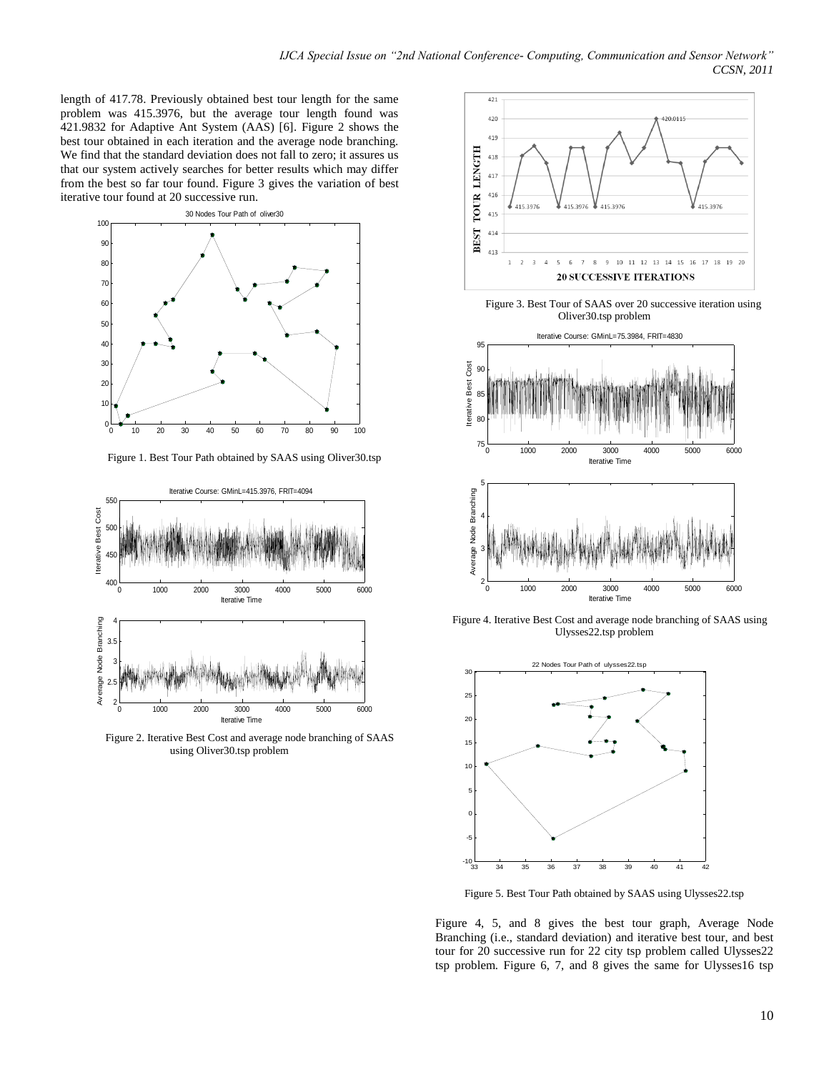length of 417.78. Previously obtained best tour length for the same problem was 415.3976, but the average tour length found was 421.9832 for Adaptive Ant System (AAS) [6]. Figure 2 shows the best tour obtained in each iteration and the average node branching. We find that the standard deviation does not fall to zero; it assures us that our system actively searches for better results which may differ from the best so far tour found. Figure 3 gives the variation of best iterative tour found at 20 successive run.



Figure 1. Best Tour Path obtained by SAAS using Oliver30.tsp



 Figure 2. Iterative Best Cost and average node branching of SAAS using Oliver30.tsp problem



 Figure 3. Best Tour of SAAS over 20 successive iteration using Oliver30.tsp problem



 Figure 4. Iterative Best Cost and average node branching of SAAS using Ulysses22.tsp problem



Figure 5. Best Tour Path obtained by SAAS using Ulysses22.tsp

Figure 4, 5, and 8 gives the best tour graph, Average Node Branching (i.e., standard deviation) and iterative best tour, and best tour for 20 successive run for 22 city tsp problem called Ulysses22 tsp problem. Figure 6, 7, and 8 gives the same for Ulysses16 tsp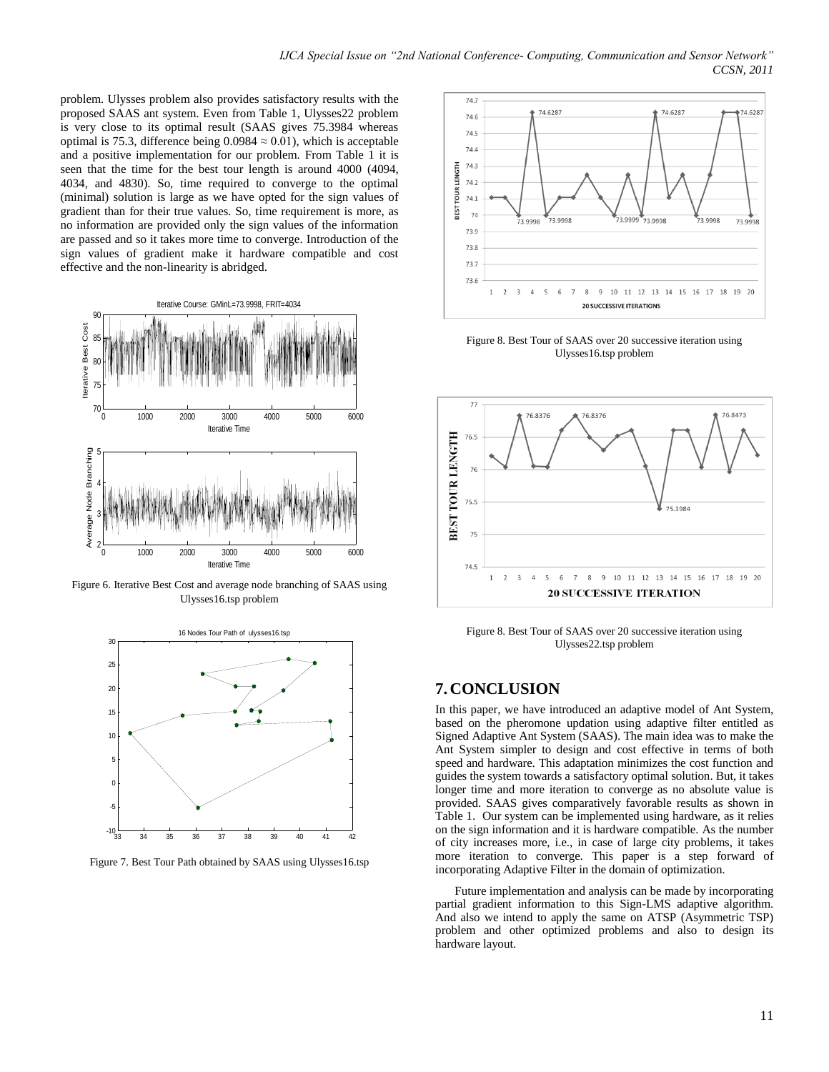problem. Ulysses problem also provides satisfactory results with the proposed SAAS ant system. Even from Table 1, Ulysses22 problem is very close to its optimal result (SAAS gives 75.3984 whereas optimal is 75.3, difference being 0.0984  $\approx$  0.01), which is acceptable and a positive implementation for our problem. From Table 1 it is seen that the time for the best tour length is around 4000 (4094, 4034, and 4830). So, time required to converge to the optimal (minimal) solution is large as we have opted for the sign values of gradient than for their true values. So, time requirement is more, as no information are provided only the sign values of the information are passed and so it takes more time to converge. Introduction of the sign values of gradient make it hardware compatible and cost effective and the non-linearity is abridged.



Figure 6. Iterative Best Cost and average node branching of SAAS using Ulysses16.tsp problem



Figure 7. Best Tour Path obtained by SAAS using Ulysses16.tsp



Figure 8. Best Tour of SAAS over 20 successive iteration using Ulysses16.tsp problem



Figure 8. Best Tour of SAAS over 20 successive iteration using Ulysses22.tsp problem

# **7. CONCLUSION**

In this paper, we have introduced an adaptive model of Ant System, based on the pheromone updation using adaptive filter entitled as Signed Adaptive Ant System (SAAS). The main idea was to make the Ant System simpler to design and cost effective in terms of both speed and hardware. This adaptation minimizes the cost function and guides the system towards a satisfactory optimal solution. But, it takes longer time and more iteration to converge as no absolute value is provided. SAAS gives comparatively favorable results as shown in Table 1. Our system can be implemented using hardware, as it relies on the sign information and it is hardware compatible. As the number of city increases more, i.e., in case of large city problems, it takes more iteration to converge. This paper is a step forward of incorporating Adaptive Filter in the domain of optimization.

Future implementation and analysis can be made by incorporating partial gradient information to this Sign-LMS adaptive algorithm. And also we intend to apply the same on ATSP (Asymmetric TSP) problem and other optimized problems and also to design its hardware layout.